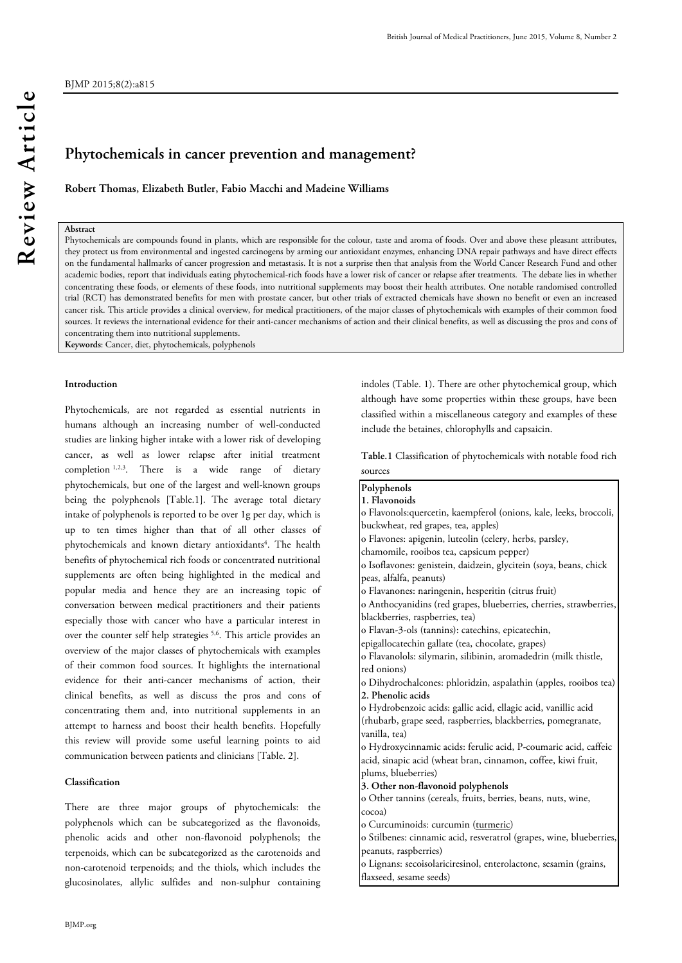# **Phytochemicals in cancer prevention and management?**

**Robert Thomas, Elizabeth Butler, Fabio Macchi and Madeine Williams** 

# **Abstract**

BJMP 2015;8(2):a815

Phytochemicals are compounds found in plants, which are responsible for the colour, taste and aroma of foods. Over and above these pleasant attributes, they protect us from environmental and ingested carcinogens by arming our antioxidant enzymes, enhancing DNA repair pathways and have direct effects on the fundamental hallmarks of cancer progression and metastasis. It is not a surprise then that analysis from the World Cancer Research Fund and other academic bodies, report that individuals eating phytochemical-rich foods have a lower risk of cancer or relapse after treatments. The debate lies in whether concentrating these foods, or elements of these foods, into nutritional supplements may boost their health attributes. One notable randomised controlled trial (RCT) has demonstrated benefits for men with prostate cancer, but other trials of extracted chemicals have shown no benefit or even an increased cancer risk. This article provides a clinical overview, for medical practitioners, of the major classes of phytochemicals with examples of their common food sources. It reviews the international evidence for their anti-cancer mechanisms of action and their clinical benefits, as well as discussing the pros and cons of concentrating them into nutritional supplements.

sources

**Keywords**: Cancer, diet, phytochemicals, polyphenols

#### **Introduction**

Phytochemicals, are not regarded as essential nutrients in humans although an increasing number of well-conducted studies are linking higher intake with a lower risk of developing cancer, as well as lower relapse after initial treatment completion 1,2,3. There is a wide range of dietary phytochemicals, but one of the largest and well-known groups being the polyphenols [Table.1]. The average total dietary intake of polyphenols is reported to be over 1g per day, which is up to ten times higher than that of all other classes of phytochemicals and known dietary antioxidants<sup>4</sup>. The health benefits of phytochemical rich foods or concentrated nutritional supplements are often being highlighted in the medical and popular media and hence they are an increasing topic of conversation between medical practitioners and their patients especially those with cancer who have a particular interest in over the counter self help strategies 5,6. This article provides an overview of the major classes of phytochemicals with examples of their common food sources. It highlights the international evidence for their anti-cancer mechanisms of action, their clinical benefits, as well as discuss the pros and cons of concentrating them and, into nutritional supplements in an attempt to harness and boost their health benefits. Hopefully this review will provide some useful learning points to aid communication between patients and clinicians [Table. 2].

## **Classification**

There are three major groups of phytochemicals: the polyphenols which can be subcategorized as the flavonoids, phenolic acids and other non-flavonoid polyphenols; the terpenoids, which can be subcategorized as the carotenoids and non-carotenoid terpenoids; and the thiols, which includes the glucosinolates, allylic sulfides and non-sulphur containing

indoles (Table. 1). There are other phytochemical group, which although have some properties within these groups, have been classified within a miscellaneous category and examples of these include the betaines, chlorophylls and capsaicin.

**Table.1** Classification of phytochemicals with notable food rich

| Polyphenols                                                         |
|---------------------------------------------------------------------|
| 1. Flavonoids                                                       |
| o Flavonols: quercetin, kaempferol (onions, kale, leeks, broccoli,  |
| buckwheat, red grapes, tea, apples)                                 |
| o Flavones: apigenin, luteolin (celery, herbs, parsley,             |
| chamomile, rooibos tea, capsicum pepper)                            |
| o Isoflavones: genistein, daidzein, glycitein (soya, beans, chick   |
| peas, alfalfa, peanuts)                                             |
| o Flavanones: naringenin, hesperitin (citrus fruit)                 |
| o Anthocyanidins (red grapes, blueberries, cherries, strawberries,  |
| blackberries, raspberries, tea)                                     |
| o Flavan-3-ols (tannins): catechins, epicatechin,                   |
| epigallocatechin gallate (tea, chocolate, grapes)                   |
| o Flavanolols: silymarin, silibinin, aromadedrin (milk thistle,     |
| red onions)                                                         |
| o Dihydrochalcones: phloridzin, aspalathin (apples, rooibos tea)    |
| 2. Phenolic acids                                                   |
| o Hydrobenzoic acids: gallic acid, ellagic acid, vanillic acid      |
| (rhubarb, grape seed, raspberries, blackberries, pomegranate,       |
| vanilla, tea)                                                       |
| o Hydroxycinnamic acids: ferulic acid, P-coumaric acid, caffeic     |
| acid, sinapic acid (wheat bran, cinnamon, coffee, kiwi fruit,       |
| plums, blueberries)                                                 |
| 3. Other non-flavonoid polyphenols                                  |
| o Other tannins (cereals, fruits, berries, beans, nuts, wine,       |
| cocoa)                                                              |
| o Curcuminoids: curcumin (turmeric)                                 |
| o Stilbenes: cinnamic acid, resveratrol (grapes, wine, blueberries, |
| peanuts, raspberries)                                               |
| o Lignans: secoisolariciresinol, enterolactone, sesamin (grains,    |
| flaxseed, sesame seeds)                                             |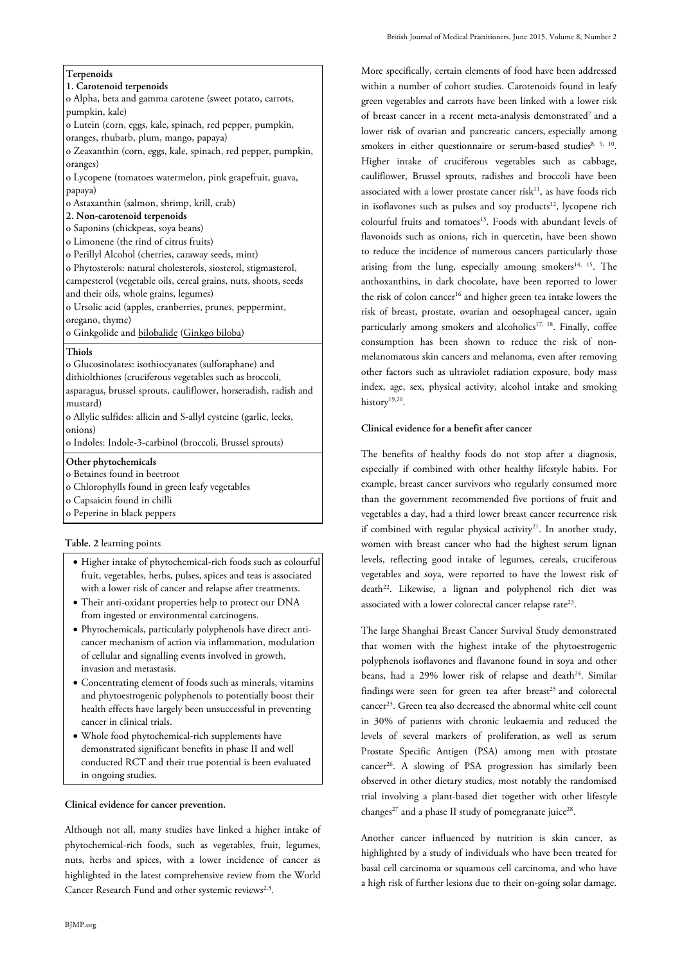# **Terpenoids**

#### **1. Carotenoid terpenoids**

o Alpha, beta and gamma carotene (sweet potato, carrots, pumpkin, kale)

o Lutein (corn, eggs, kale, spinach, red pepper, pumpkin,

oranges, rhubarb, plum, mango, papaya)

o Zeaxanthin (corn, eggs, kale, spinach, red pepper, pumpkin, oranges)

o Lycopene (tomatoes watermelon, pink grapefruit, guava, papaya)

o Astaxanthin (salmon, shrimp, krill, crab)

- **2. Non-carotenoid terpenoids**
- o Saponins (chickpeas, soya beans)
- o Limonene (the rind of citrus fruits)
- o Perillyl Alcohol (cherries, caraway seeds, mint)

o Phytosterols: natural cholesterols, siosterol, stigmasterol, campesterol (vegetable oils, cereal grains, nuts, shoots, seeds and their oils, whole grains, legumes)

o Ursolic acid (apples, cranberries, prunes, peppermint, oregano, thyme)

o Ginkgolide and bilobalide (Ginkgo biloba)

#### **Thiols**

o Glucosinolates: isothiocyanates (sulforaphane) and dithiolthiones (cruciferous vegetables such as broccoli, asparagus, brussel sprouts, cauliflower, horseradish, radish and mustard)

o Allylic sulfides: allicin and S-allyl cysteine (garlic, leeks, onions)

o Indoles: Indole-3-carbinol (broccoli, Brussel sprouts)

#### **Other phytochemicals**

o Betaines found in beetroot

- o Chlorophylls found in green leafy vegetables
- o Capsaicin found in chilli
- o Peperine in black peppers

#### **Table. 2** learning points

- Higher intake of phytochemical-rich foods such as colourful fruit, vegetables, herbs, pulses, spices and teas is associated with a lower risk of cancer and relapse after treatments.
- Their anti-oxidant properties help to protect our DNA from ingested or environmental carcinogens.
- Phytochemicals, particularly polyphenols have direct anticancer mechanism of action via inflammation, modulation of cellular and signalling events involved in growth, invasion and metastasis.
- Concentrating element of foods such as minerals, vitamins and phytoestrogenic polyphenols to potentially boost their health effects have largely been unsuccessful in preventing cancer in clinical trials.
- Whole food phytochemical-rich supplements have demonstrated significant benefits in phase II and well conducted RCT and their true potential is been evaluated in ongoing studies.

#### **Clinical evidence for cancer prevention.**

Although not all, many studies have linked a higher intake of phytochemical-rich foods, such as vegetables, fruit, legumes, nuts, herbs and spices, with a lower incidence of cancer as highlighted in the latest comprehensive review from the World Cancer Research Fund and other systemic reviews<sup>2,3</sup>.

More specifically, certain elements of food have been addressed within a number of cohort studies. Carotenoids found in leafy green vegetables and carrots have been linked with a lower risk of breast cancer in a recent meta-analysis demonstrated<sup>7</sup> and a lower risk of ovarian and pancreatic cancers, especially among smokers in either questionnaire or serum-based studies<sup>8, 9, 10</sup>. Higher intake of cruciferous vegetables such as cabbage, cauliflower, Brussel sprouts, radishes and broccoli have been associated with a lower prostate cancer risk $^{11}$ , as have foods rich in isoflavones such as pulses and soy products<sup>12</sup>, lycopene rich colourful fruits and tomatoes<sup>13</sup>. Foods with abundant levels of flavonoids such as onions, rich in quercetin, have been shown to reduce the incidence of numerous cancers particularly those arising from the lung, especially amoung smokers<sup>14, 15</sup>. The anthoxanthins, in dark chocolate, have been reported to lower the risk of colon cancer<sup>16</sup> and higher green tea intake lowers the risk of breast, prostate, ovarian and oesophageal cancer, again particularly among smokers and alcoholics<sup>17, 18</sup>. Finally, coffee consumption has been shown to reduce the risk of nonmelanomatous skin cancers and melanoma, even after removing other factors such as ultraviolet radiation exposure, body mass index, age, sex, physical activity, alcohol intake and smoking history<sup>19,20</sup>.

# **Clinical evidence for a benefit after cancer**

The benefits of healthy foods do not stop after a diagnosis, especially if combined with other healthy lifestyle habits. For example, breast cancer survivors who regularly consumed more than the government recommended five portions of fruit and vegetables a day, had a third lower breast cancer recurrence risk if combined with regular physical activity<sup>21</sup>. In another study, women with breast cancer who had the highest serum lignan levels, reflecting good intake of legumes, cereals, cruciferous vegetables and soya, were reported to have the lowest risk of death<sup>22</sup>. Likewise, a lignan and polyphenol rich diet was associated with a lower colorectal cancer relapse rate<sup>23</sup>.

The large Shanghai Breast Cancer Survival Study demonstrated that women with the highest intake of the phytoestrogenic polyphenols isoflavones and flavanone found in soya and other beans, had a 29% lower risk of relapse and death<sup>24</sup>. Similar findings were seen for green tea after breast<sup>25</sup> and colorectal cancer<sup>23</sup>. Green tea also decreased the abnormal white cell count in 30% of patients with chronic leukaemia and reduced the levels of several markers of proliferation, as well as serum Prostate Specific Antigen (PSA) among men with prostate cancer<sup>26</sup>. A slowing of PSA progression has similarly been observed in other dietary studies, most notably the randomised trial involving a plant-based diet together with other lifestyle changes<sup>27</sup> and a phase II study of pomegranate juice<sup>28</sup>.

Another cancer influenced by nutrition is skin cancer, as highlighted by a study of individuals who have been treated for basal cell carcinoma or squamous cell carcinoma, and who have a high risk of further lesions due to their on-going solar damage.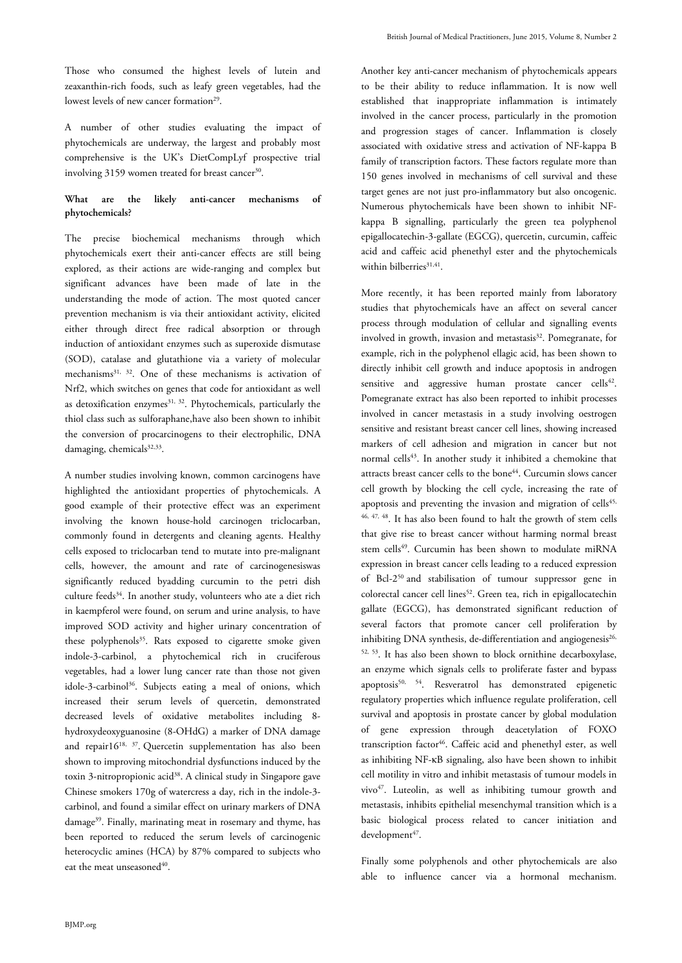Those who consumed the highest levels of lutein and zeaxanthin-rich foods, such as leafy green vegetables, had the lowest levels of new cancer formation<sup>29</sup>.

A number of other studies evaluating the impact of phytochemicals are underway, the largest and probably most comprehensive is the UK's DietCompLyf prospective trial involving 3159 women treated for breast cancer<sup>30</sup>.

# **What are the likely anti-cancer mechanisms of phytochemicals?**

The precise biochemical mechanisms through which phytochemicals exert their anti-cancer effects are still being explored, as their actions are wide-ranging and complex but significant advances have been made of late in the understanding the mode of action. The most quoted cancer prevention mechanism is via their antioxidant activity, elicited either through direct free radical absorption or through induction of antioxidant enzymes such as superoxide dismutase (SOD), catalase and glutathione via a variety of molecular mechanisms<sup>31, 32</sup>. One of these mechanisms is activation of Nrf2, which switches on genes that code for antioxidant as well as detoxification enzymes $31$ ,  $32$ . Phytochemicals, particularly the thiol class such as sulforaphane,have also been shown to inhibit the conversion of procarcinogens to their electrophilic, DNA damaging, chemicals<sup>32,33</sup>.

A number studies involving known, common carcinogens have highlighted the antioxidant properties of phytochemicals. A good example of their protective effect was an experiment involving the known house-hold carcinogen triclocarban, commonly found in detergents and cleaning agents. Healthy cells exposed to triclocarban tend to mutate into pre-malignant cells, however, the amount and rate of carcinogenesiswas significantly reduced byadding curcumin to the petri dish culture feeds<sup>34</sup>. In another study, volunteers who ate a diet rich in kaempferol were found, on serum and urine analysis, to have improved SOD activity and higher urinary concentration of these polyphenols<sup>35</sup>. Rats exposed to cigarette smoke given indole-3-carbinol, a phytochemical rich in cruciferous vegetables, had a lower lung cancer rate than those not given idole-3-carbinol<sup>36</sup>. Subjects eating a meal of onions, which increased their serum levels of quercetin, demonstrated decreased levels of oxidative metabolites including 8 hydroxydeoxyguanosine (8-OHdG) a marker of DNA damage and repair16<sup>18, 37</sup>. Quercetin supplementation has also been shown to improving mitochondrial dysfunctions induced by the toxin 3-nitropropionic acid<sup>38</sup>. A clinical study in Singapore gave Chinese smokers 170g of watercress a day, rich in the indole-3 carbinol, and found a similar effect on urinary markers of DNA damage<sup>39</sup>. Finally, marinating meat in rosemary and thyme, has been reported to reduced the serum levels of carcinogenic heterocyclic amines (HCA) by 87% compared to subjects who eat the meat unseasoned<sup>40</sup>.

Another key anti-cancer mechanism of phytochemicals appears to be their ability to reduce inflammation. It is now well established that inappropriate inflammation is intimately involved in the cancer process, particularly in the promotion and progression stages of cancer. Inflammation is closely associated with oxidative stress and activation of NF-kappa B family of transcription factors. These factors regulate more than 150 genes involved in mechanisms of cell survival and these target genes are not just pro-inflammatory but also oncogenic. Numerous phytochemicals have been shown to inhibit NFkappa B signalling, particularly the green tea polyphenol epigallocatechin-3-gallate (EGCG), quercetin, curcumin, caffeic acid and caffeic acid phenethyl ester and the phytochemicals within bilberries<sup>31,41</sup>.

More recently, it has been reported mainly from laboratory studies that phytochemicals have an affect on several cancer process through modulation of cellular and signalling events involved in growth, invasion and metastasis<sup>32</sup>. Pomegranate, for example, rich in the polyphenol ellagic acid, has been shown to directly inhibit cell growth and induce apoptosis in androgen sensitive and aggressive human prostate cancer cells<sup>42</sup>. Pomegranate extract has also been reported to inhibit processes involved in cancer metastasis in a study involving oestrogen sensitive and resistant breast cancer cell lines, showing increased markers of cell adhesion and migration in cancer but not normal cells<sup>43</sup>. In another study it inhibited a chemokine that attracts breast cancer cells to the bone<sup>44</sup>. Curcumin slows cancer cell growth by blocking the cell cycle, increasing the rate of apoptosis and preventing the invasion and migration of cells<sup>45,</sup> 46, 47, 48. It has also been found to halt the growth of stem cells that give rise to breast cancer without harming normal breast stem cells<sup>49</sup>. Curcumin has been shown to modulate miRNA expression in breast cancer cells leading to a reduced expression of Bcl-2<sup>50</sup> and stabilisation of tumour suppressor gene in colorectal cancer cell lines<sup>52</sup>. Green tea, rich in epigallocatechin gallate (EGCG), has demonstrated significant reduction of several factors that promote cancer cell proliferation by inhibiting DNA synthesis, de-differentiation and angiogenesis<sup>26,</sup> 52, 53. It has also been shown to block ornithine decarboxylase, an enzyme which signals cells to proliferate faster and bypass apoptosis $50, 54$ . Resveratrol has demonstrated epigenetic regulatory properties which influence regulate proliferation, cell survival and apoptosis in prostate cancer by global modulation of gene expression through deacetylation of FOXO transcription factor<sup>46</sup>. Caffeic acid and phenethyl ester, as well as inhibiting NF-κB signaling, also have been shown to inhibit cell motility in vitro and inhibit metastasis of tumour models in vivo<sup>47</sup>. Luteolin, as well as inhibiting tumour growth and metastasis, inhibits epithelial mesenchymal transition which is a basic biological process related to cancer initiation and development<sup>47</sup>.

Finally some polyphenols and other phytochemicals are also able to influence cancer via a hormonal mechanism.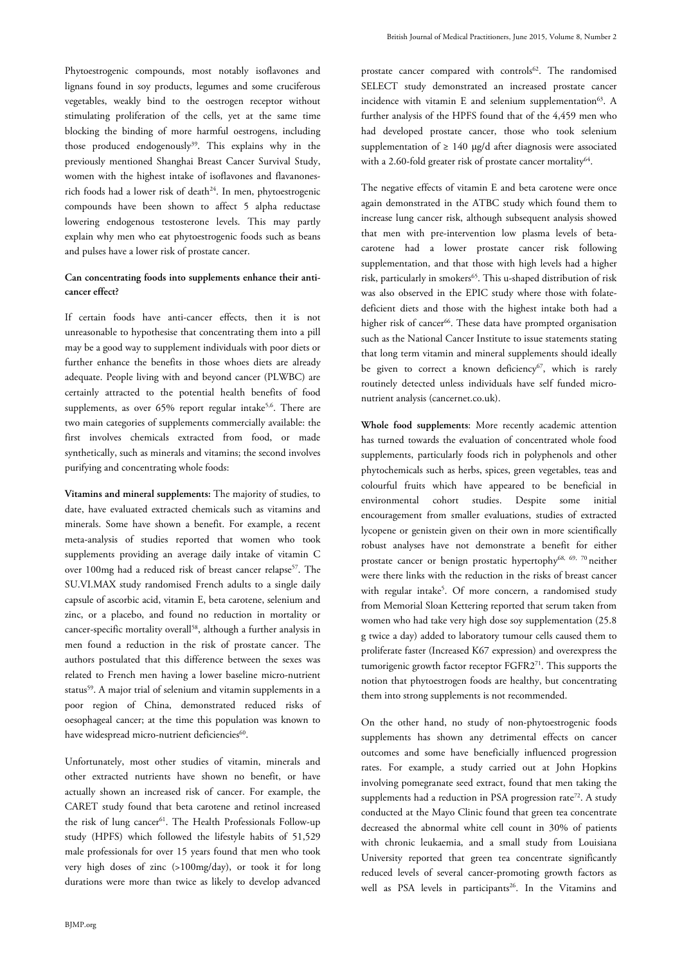Phytoestrogenic compounds, most notably isoflavones and lignans found in soy products, legumes and some cruciferous vegetables, weakly bind to the oestrogen receptor without stimulating proliferation of the cells, yet at the same time blocking the binding of more harmful oestrogens, including those produced endogenously<sup>39</sup>. This explains why in the previously mentioned Shanghai Breast Cancer Survival Study, women with the highest intake of isoflavones and flavanonesrich foods had a lower risk of death<sup>24</sup>. In men, phytoestrogenic compounds have been shown to affect 5 alpha reductase lowering endogenous testosterone levels. This may partly explain why men who eat phytoestrogenic foods such as beans and pulses have a lower risk of prostate cancer.

# **Can concentrating foods into supplements enhance their anticancer effect?**

If certain foods have anti-cancer effects, then it is not unreasonable to hypothesise that concentrating them into a pill may be a good way to supplement individuals with poor diets or further enhance the benefits in those whoes diets are already adequate. People living with and beyond cancer (PLWBC) are certainly attracted to the potential health benefits of food supplements, as over 65% report regular intake<sup>5,6</sup>. There are two main categories of supplements commercially available: the first involves chemicals extracted from food, or made synthetically, such as minerals and vitamins; the second involves purifying and concentrating whole foods:

**Vitamins and mineral supplements:** The majority of studies, to date, have evaluated extracted chemicals such as vitamins and minerals. Some have shown a benefit. For example, a recent meta-analysis of studies reported that women who took supplements providing an average daily intake of vitamin C over 100mg had a reduced risk of breast cancer relapse<sup>57</sup>. The SU.VI.MAX study randomised French adults to a single daily capsule of ascorbic acid, vitamin E, beta carotene, selenium and zinc, or a placebo, and found no reduction in mortality or cancer-specific mortality overall<sup>58</sup>, although a further analysis in men found a reduction in the risk of prostate cancer. The authors postulated that this difference between the sexes was related to French men having a lower baseline micro-nutrient status<sup>59</sup>. A major trial of selenium and vitamin supplements in a poor region of China, demonstrated reduced risks of oesophageal cancer; at the time this population was known to have widespread micro-nutrient deficiencies<sup>60</sup>.

Unfortunately, most other studies of vitamin, minerals and other extracted nutrients have shown no benefit, or have actually shown an increased risk of cancer. For example, the CARET study found that beta carotene and retinol increased the risk of lung cancer<sup>61</sup>. The Health Professionals Follow-up study (HPFS) which followed the lifestyle habits of 51,529 male professionals for over 15 years found that men who took very high doses of zinc (>100mg/day), or took it for long durations were more than twice as likely to develop advanced

prostate cancer compared with controls<sup>62</sup>. The randomised SELECT study demonstrated an increased prostate cancer incidence with vitamin E and selenium supplementation $63$ . A further analysis of the HPFS found that of the 4,459 men who had developed prostate cancer, those who took selenium supplementation of  $\geq 140 \mu g/d$  after diagnosis were associated with a 2.60-fold greater risk of prostate cancer mortality<sup>64</sup>.

The negative effects of vitamin E and beta carotene were once again demonstrated in the ATBC study which found them to increase lung cancer risk, although subsequent analysis showed that men with pre-intervention low plasma levels of betacarotene had a lower prostate cancer risk following supplementation, and that those with high levels had a higher risk, particularly in smokers<sup>65</sup>. This u-shaped distribution of risk was also observed in the EPIC study where those with folatedeficient diets and those with the highest intake both had a higher risk of cancer<sup>66</sup>. These data have prompted organisation such as the National Cancer Institute to issue statements stating that long term vitamin and mineral supplements should ideally be given to correct a known deficiency<sup>67</sup>, which is rarely routinely detected unless individuals have self funded micronutrient analysis (cancernet.co.uk).

**Whole food supplements**: More recently academic attention has turned towards the evaluation of concentrated whole food supplements, particularly foods rich in polyphenols and other phytochemicals such as herbs, spices, green vegetables, teas and colourful fruits which have appeared to be beneficial in environmental cohort studies. Despite some initial encouragement from smaller evaluations, studies of extracted lycopene or genistein given on their own in more scientifically robust analyses have not demonstrate a benefit for either prostate cancer or benign prostatic hypertophy68, 69, 70 neither were there links with the reduction in the risks of breast cancer with regular intake<sup>5</sup>. Of more concern, a randomised study from Memorial Sloan Kettering reported that serum taken from women who had take very high dose soy supplementation (25.8 g twice a day) added to laboratory tumour cells caused them to proliferate faster (Increased K67 expression) and overexpress the tumorigenic growth factor receptor FGFR2<sup>71</sup>. This supports the notion that phytoestrogen foods are healthy, but concentrating them into strong supplements is not recommended.

On the other hand, no study of non-phytoestrogenic foods supplements has shown any detrimental effects on cancer outcomes and some have beneficially influenced progression rates. For example, a study carried out at John Hopkins involving pomegranate seed extract, found that men taking the supplements had a reduction in PSA progression rate<sup>72</sup>. A study conducted at the Mayo Clinic found that green tea concentrate decreased the abnormal white cell count in 30% of patients with chronic leukaemia, and a small study from Louisiana University reported that green tea concentrate significantly reduced levels of several cancer-promoting growth factors as well as PSA levels in participants<sup>26</sup>. In the Vitamins and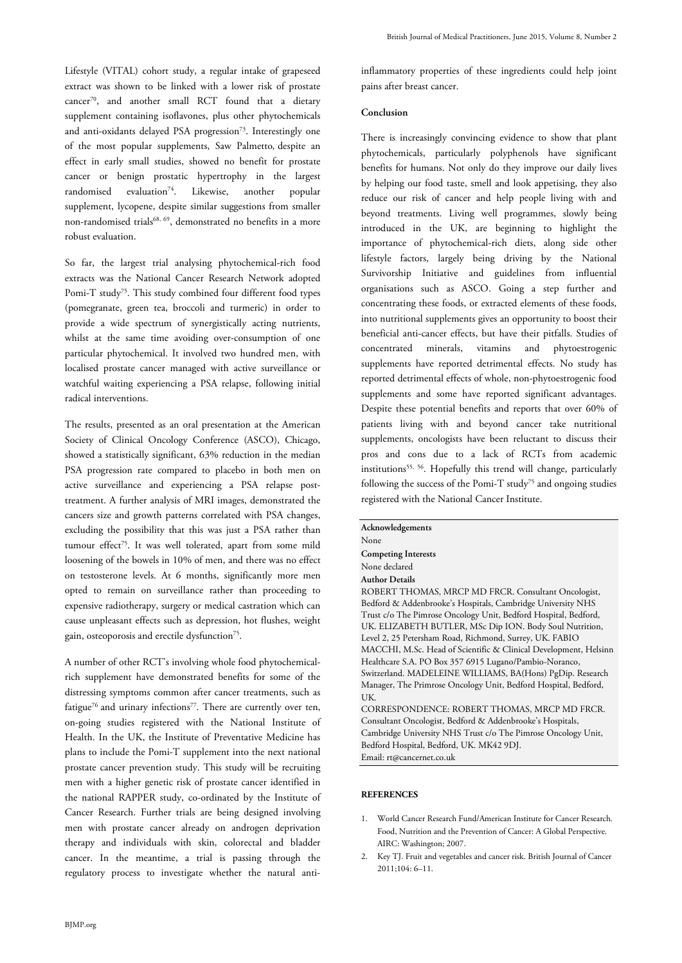Lifestyle (VITAL) cohort study, a regular intake of grapeseed extract was shown to be linked with a lower risk of prostate cancer<sup>70</sup>, and another small RCT found that a dietary supplement containing isoflavones, plus other phytochemicals and anti-oxidants delayed PSA progression<sup>73</sup>. Interestingly one of the most popular supplements, Saw Palmetto*,* despite an effect in early small studies, showed no benefit for prostate cancer or benign prostatic hypertrophy in the largest  $randomised$  evaluation<sup>74</sup>. Likewise, another popular supplement, lycopene, despite similar suggestions from smaller non-randomised trials<sup>68, 69</sup>, demonstrated no benefits in a more robust evaluation.

So far, the largest trial analysing phytochemical-rich food extracts was the National Cancer Research Network adopted Pomi-T study<sup>75</sup>. This study combined four different food types (pomegranate, green tea, broccoli and turmeric) in order to provide a wide spectrum of synergistically acting nutrients, whilst at the same time avoiding over-consumption of one particular phytochemical. It involved two hundred men, with localised prostate cancer managed with active surveillance or watchful waiting experiencing a PSA relapse, following initial radical interventions.

The results, presented as an oral presentation at the American Society of Clinical Oncology Conference (ASCO), Chicago, showed a statistically significant, 63% reduction in the median PSA progression rate compared to placebo in both men on active surveillance and experiencing a PSA relapse posttreatment. A further analysis of MRI images, demonstrated the cancers size and growth patterns correlated with PSA changes, excluding the possibility that this was just a PSA rather than tumour effect<sup>75</sup>. It was well tolerated, apart from some mild loosening of the bowels in 10% of men, and there was no effect on testosterone levels. At 6 months, significantly more men opted to remain on surveillance rather than proceeding to expensive radiotherapy, surgery or medical castration which can cause unpleasant effects such as depression, hot flushes, weight gain, osteoporosis and erectile dysfunction<sup>75</sup>.

A number of other RCT's involving whole food phytochemicalrich supplement have demonstrated benefits for some of the distressing symptoms common after cancer treatments, such as fatigue<sup>76</sup> and urinary infections<sup>77</sup>. There are currently over ten, on-going studies registered with the National Institute of Health. In the UK, the Institute of Preventative Medicine has plans to include the Pomi-T supplement into the next national prostate cancer prevention study. This study will be recruiting men with a higher genetic risk of prostate cancer identified in the national RAPPER study, co-ordinated by the Institute of Cancer Research. Further trials are being designed involving men with prostate cancer already on androgen deprivation therapy and individuals with skin, colorectal and bladder cancer. In the meantime, a trial is passing through the regulatory process to investigate whether the natural anti-

## **Conclusion**

There is increasingly convincing evidence to show that plant phytochemicals, particularly polyphenols have significant benefits for humans. Not only do they improve our daily lives by helping our food taste, smell and look appetising, they also reduce our risk of cancer and help people living with and beyond treatments. Living well programmes, slowly being introduced in the UK, are beginning to highlight the importance of phytochemical-rich diets, along side other lifestyle factors, largely being driving by the National Survivorship Initiative and guidelines from influential organisations such as ASCO. Going a step further and concentrating these foods, or extracted elements of these foods, into nutritional supplements gives an opportunity to boost their beneficial anti-cancer effects, but have their pitfalls. Studies of concentrated minerals, vitamins and phytoestrogenic supplements have reported detrimental effects. No study has reported detrimental effects of whole, non-phytoestrogenic food supplements and some have reported significant advantages. Despite these potential benefits and reports that over 60% of patients living with and beyond cancer take nutritional supplements, oncologists have been reluctant to discuss their pros and cons due to a lack of RCTs from academic institutions<sup>55, 56</sup>. Hopefully this trend will change, particularly following the success of the Pomi-T study<sup>75</sup> and ongoing studies registered with the National Cancer Institute.

| Acknowledgements                                                 |
|------------------------------------------------------------------|
| None                                                             |
| <b>Competing Interests</b>                                       |
| None declared                                                    |
| <b>Author Details</b>                                            |
| ROBERT THOMAS, MRCP MD FRCR. Consultant Oncologist,              |
| Bedford & Addenbrooke's Hospitals, Cambridge University NHS      |
| Trust c/o The Pimrose Oncology Unit, Bedford Hospital, Bedford,  |
| UK. ELIZABETH BUTLER, MSc Dip ION. Body Soul Nutrition,          |
| Level 2, 25 Petersham Road, Richmond, Surrey, UK. FABIO          |
| MACCHI, M.Sc. Head of Scientific & Clinical Development, Helsinn |
| Healthcare S.A. PO Box 357 6915 Lugano/Pambio-Noranco,           |
| Switzerland. MADELEINE WILLIAMS, BA(Hons) PgDip. Research        |
| Manager, The Primrose Oncology Unit, Bedford Hospital, Bedford,  |
| UK.                                                              |
| CORRESPONDENCE: ROBERT THOMAS, MRCP MD FRCR.                     |
| Consultant Oncologist, Bedford & Addenbrooke's Hospitals,        |
| Cambridge University NHS Trust c/o The Pimrose Oncology Unit     |

Cambridge University NHS Trust c/o The Pimrose Oncology Unit, Bedford Hospital, Bedford, UK. MK42 9DJ. Email: rt@cancernet.co.uk

#### **REFERENCES**

- 1. World Cancer Research Fund/American Institute for Cancer Research. Food, Nutrition and the Prevention of Cancer: A Global Perspective. AIRC: Washington; 2007.
- 2. Key TJ. Fruit and vegetables and cancer risk. British Journal of Cancer 2011;104: 6–11.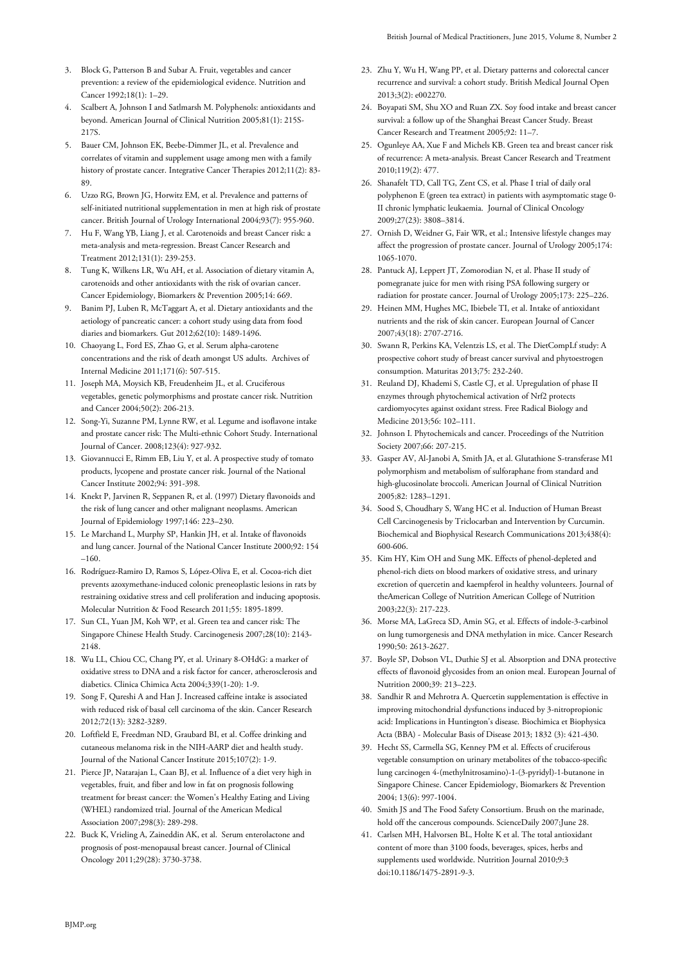- 3. Block G, Patterson B and Subar A. Fruit, vegetables and cancer prevention: a review of the epidemiological evidence. Nutrition and Cancer 1992;18(1): 1–29.
- 4. Scalbert A, Johnson I and Satlmarsh M. Polyphenols: antioxidants and beyond. American Journal of Clinical Nutrition 2005;81(1): 215S-217S.
- 5. Bauer CM, Johnson EK, Beebe-Dimmer JL, et al. Prevalence and correlates of vitamin and supplement usage among men with a family history of prostate cancer. Integrative Cancer Therapies 2012;11(2): 83- 89.
- 6. Uzzo RG, Brown JG, Horwitz EM, et al. Prevalence and patterns of self-initiated nutritional supplementation in men at high risk of prostate cancer. British Journal of Urology International 2004;93(7): 955-960.
- 7. Hu F, Wang YB, Liang J, et al. Carotenoids and breast Cancer risk: a meta-analysis and meta-regression. Breast Cancer Research and Treatment 2012;131(1): 239-253.
- 8. Tung K, Wilkens LR, Wu AH, et al. Association of dietary vitamin A, carotenoids and other antioxidants with the risk of ovarian cancer. Cancer Epidemiology, Biomarkers & Prevention 2005;14: 669.
- 9. Banim PJ, Luben R, McTaggart A, et al. Dietary antioxidants and the aetiology of pancreatic cancer: a cohort study using data from food diaries and biomarkers. Gut 2012;62(10): 1489-1496.
- 10. Chaoyang L, Ford ES, Zhao G, et al. Serum alpha-carotene concentrations and the risk of death amongst US adults. Archives of Internal Medicine 2011;171(6): 507-515.
- 11. Joseph MA, Moysich KB, Freudenheim JL, et al. Cruciferous vegetables, genetic polymorphisms and prostate cancer risk. Nutrition and Cancer 2004;50(2): 206-213.
- 12. Song-Yi, Suzanne PM, Lynne RW, et al. Legume and isoflavone intake and prostate cancer risk: The Multi-ethnic Cohort Study. International Journal of Cancer. 2008;123(4): 927-932.
- 13. Giovannucci E, Rimm EB, Liu Y, et al. A prospective study of tomato products, lycopene and prostate cancer risk. Journal of the National Cancer Institute 2002;94: 391-398.
- 14. Knekt P, Jarvinen R, Seppanen R, et al. (1997) Dietary flavonoids and the risk of lung cancer and other malignant neoplasms. American Journal of Epidemiology 1997;146: 223–230.
- 15. Le Marchand L, Murphy SP, Hankin JH, et al. Intake of flavonoids and lung cancer. Journal of the National Cancer Institute 2000;92: 154 –160.
- 16. Rodríguez-Ramiro D, Ramos S, López-Oliva E, et al. Cocoa-rich diet prevents azoxymethane-induced colonic preneoplastic lesions in rats by restraining oxidative stress and cell proliferation and inducing apoptosis. Molecular Nutrition & Food Research 2011;55: 1895-1899.
- 17. Sun CL, Yuan JM, Koh WP, et al. Green tea and cancer risk: The Singapore Chinese Health Study. Carcinogenesis 2007;28(10): 2143- 2148.
- 18. Wu LL, Chiou CC, Chang PY, et al. Urinary 8-OHdG: a marker of oxidative stress to DNA and a risk factor for cancer, atherosclerosis and diabetics. Clinica Chimica Acta 2004;339(1-20): 1-9.
- 19. Song F, Qureshi A and Han J. Increased caffeine intake is associated with reduced risk of basal cell carcinoma of the skin. Cancer Research 2012;72(13): 3282-3289.
- 20. Loftfield E, Freedman ND, Graubard BI, et al. Coffee drinking and cutaneous melanoma risk in the NIH-AARP diet and health study. Journal of the National Cancer Institute 2015;107(2): 1-9.
- 21. Pierce JP, Natarajan L, Caan BJ, et al. Influence of a diet very high in vegetables, fruit, and fiber and low in fat on prognosis following treatment for breast cancer: the Women's Healthy Eating and Living (WHEL) randomized trial. Journal of the American Medical Association 2007;298(3): 289-298.
- 22. Buck K, Vrieling A, Zaineddin AK, et al. Serum enterolactone and prognosis of post-menopausal breast cancer. Journal of Clinical Oncology 2011;29(28): 3730-3738.
- 23. Zhu Y, Wu H, Wang PP, et al. Dietary patterns and colorectal cancer recurrence and survival: a cohort study. British Medical Journal Open 2013;3(2): e002270.
- 24. Boyapati SM, Shu XO and Ruan ZX. Soy food intake and breast cancer survival: a follow up of the Shanghai Breast Cancer Study. Breast Cancer Research and Treatment 2005;92: 11–7.
- 25. Ogunleye AA, Xue F and Michels KB. Green tea and breast cancer risk of recurrence: A meta-analysis. Breast Cancer Research and Treatment 2010;119(2): 477.
- 26. Shanafelt TD, Call TG, Zent CS, et al. Phase I trial of daily oral polyphenon E (green tea extract) in patients with asymptomatic stage 0- II chronic lymphatic leukaemia. Journal of Clinical Oncology 2009;27(23): 3808–3814.
- 27. Ornish D, Weidner G, Fair WR, et al.; Intensive lifestyle changes may affect the progression of prostate cancer. Journal of Urology 2005;174: 1065-1070.
- 28. Pantuck AJ, Leppert JT, Zomorodian N, et al. Phase II study of pomegranate juice for men with rising PSA following surgery or radiation for prostate cancer. Journal of Urology 2005;173: 225–226.
- 29. Heinen MM, Hughes MC, Ibiebele TI, et al. Intake of antioxidant nutrients and the risk of skin cancer. European Journal of Cancer 2007;43(18): 2707-2716.
- 30. Swann R, Perkins KA, Velentzis LS, et al. The DietCompLf study: A prospective cohort study of breast cancer survival and phytoestrogen consumption. Maturitas 2013;75: 232-240.
- 31. Reuland DJ, Khademi S, Castle CJ, et al. Upregulation of phase II enzymes through phytochemical activation of Nrf2 protects cardiomyocytes against oxidant stress. Free Radical Biology and Medicine 2013;56: 102–111.
- 32. Johnson I. Phytochemicals and cancer. Proceedings of the Nutrition Society 2007;66: 207-215.
- 33. Gasper AV, Al-Janobi A, Smith JA, et al. Glutathione S-transferase M1 polymorphism and metabolism of sulforaphane from standard and high-glucosinolate broccoli. American Journal of Clinical Nutrition 2005;82: 1283–1291.
- 34. Sood S, Choudhary S, Wang HC et al. Induction of Human Breast Cell Carcinogenesis by Triclocarban and Intervention by Curcumin. Biochemical and Biophysical Research Communications 2013;438(4): 600-606.
- 35. Kim HY, Kim OH and Sung MK. Effects of phenol-depleted and phenol-rich diets on blood markers of oxidative stress, and urinary excretion of quercetin and kaempferol in healthy volunteers. Journal of theAmerican College of Nutrition American College of Nutrition 2003;22(3): 217-223.
- 36. Morse MA, LaGreca SD, Amin SG, et al. Effects of indole-3-carbinol on lung tumorgenesis and DNA methylation in mice. Cancer Research 1990;50: 2613-2627.
- 37. Boyle SP, Dobson VL, Duthie SJ et al. Absorption and DNA protective effects of flavonoid glycosides from an onion meal. European Journal of Nutrition 2000;39: 213–223.
- 38. Sandhir R and Mehrotra A. Quercetin supplementation is effective in improving mitochondrial dysfunctions induced by 3-nitropropionic acid: Implications in Huntington's disease. Biochimica et Biophysica Acta (BBA) - Molecular Basis of Disease 2013; 1832 (3): 421-430.
- 39. Hecht SS, Carmella SG, Kenney PM et al. Effects of cruciferous vegetable consumption on urinary metabolites of the tobacco-specific lung carcinogen 4-(methylnitrosamino)-1-(3-pyridyl)-1-butanone in Singapore Chinese. Cancer Epidemiology, Biomarkers & Prevention 2004; 13(6): 997-1004.
- 40. Smith JS and The Food Safety Consortium. Brush on the marinade, hold off the cancerous compounds. ScienceDaily 2007;June 28.
- 41. Carlsen MH, Halvorsen BL, Holte K et al. The total antioxidant content of more than 3100 foods, beverages, spices, herbs and supplements used worldwide. Nutrition Journal 2010;9:3 doi:10.1186/1475-2891-9-3.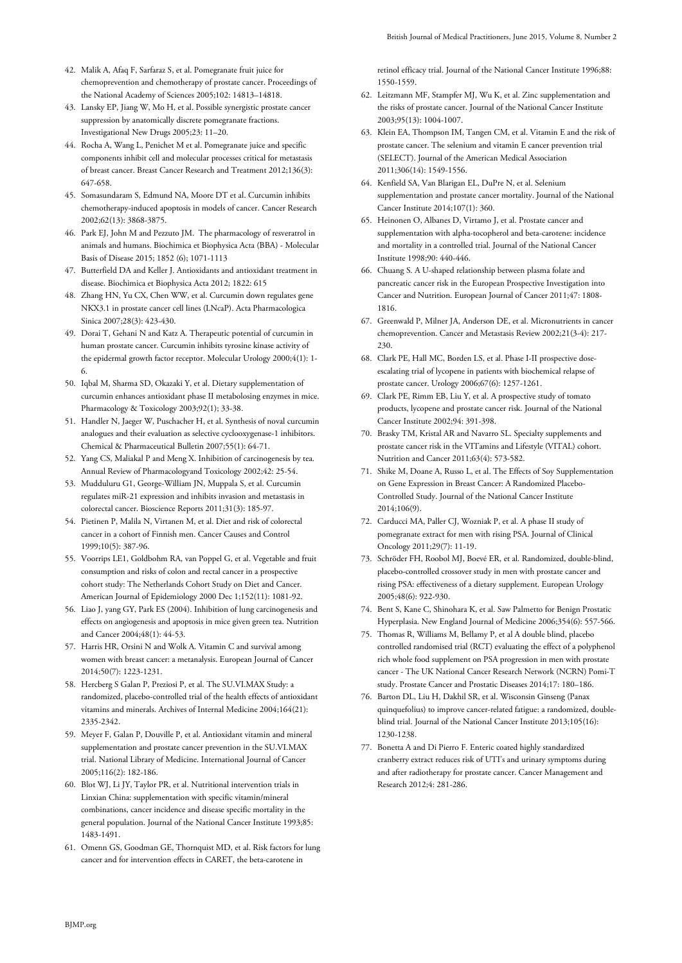- 42. Malik A, Afaq F, Sarfaraz S, et al. Pomegranate fruit juice for chemoprevention and chemotherapy of prostate cancer. Proceedings of the National Academy of Sciences 2005;102: 14813–14818.
- 43. Lansky EP, Jiang W, Mo H, et al. Possible synergistic prostate cancer suppression by anatomically discrete pomegranate fractions. Investigational New Drugs 2005;23: 11–20.
- 44. Rocha A, Wang L, Penichet M et al. Pomegranate juice and specific components inhibit cell and molecular processes critical for metastasis of breast cancer. Breast Cancer Research and Treatment 2012;136(3): 647-658.
- 45. Somasundaram S, Edmund NA, Moore DT et al. Curcumin inhibits chemotherapy-induced apoptosis in models of cancer. Cancer Research 2002;62(13): 3868-3875.
- 46. Park EJ, John M and Pezzuto JM. The pharmacology of resveratrol in animals and humans. Biochimica et Biophysica Acta (BBA) - Molecular Basis of Disease 2015; 1852 (6); 1071-1113
- 47. Butterfield DA and Keller J. Antioxidants and antioxidant treatment in disease. Biochimica et Biophysica Acta 2012; 1822: 615
- 48. Zhang HN, Yu CX, Chen WW, et al. Curcumin down regulates gene NKX3.1 in prostate cancer cell lines (LNcaP). Acta Pharmacologica Sinica 2007;28(3): 423-430.
- 49. Dorai T, Gehani N and Katz A. Therapeutic potential of curcumin in human prostate cancer. Curcumin inhibits tyrosine kinase activity of the epidermal growth factor receptor. Molecular Urology 2000;4(1): 1- 6.
- 50. Iqbal M, Sharma SD, Okazaki Y, et al. Dietary supplementation of curcumin enhances antioxidant phase II metabolosing enzymes in mice. Pharmacology & Toxicology 2003;92(1); 33-38.
- 51. Handler N, Jaeger W, Puschacher H, et al. Synthesis of noval curcumin analogues and their evaluation as selective cyclooxygenase-1 inhibitors. Chemical & Pharmaceutical Bulletin 2007;55(1): 64-71.
- 52. Yang CS, Maliakal P and Meng X. Inhibition of carcinogenesis by tea. Annual Review of Pharmacologyand Toxicology 2002;42: 25-54.
- 53. Mudduluru G1, George-William JN, Muppala S, et al. Curcumin regulates miR-21 expression and inhibits invasion and metastasis in colorectal cancer. Bioscience Reports 2011;31(3): 185-97.
- 54. Pietinen P, Malila N, Virtanen M, et al. Diet and risk of colorectal cancer in a cohort of Finnish men. Cancer Causes and Control 1999;10(5): 387-96.
- 55. Voorrips LE1, Goldbohm RA, van Poppel G, et al. Vegetable and fruit consumption and risks of colon and rectal cancer in a prospective cohort study: The Netherlands Cohort Study on Diet and Cancer. American Journal of Epidemiology 2000 Dec 1;152(11): 1081-92.
- 56. Liao J, yang GY, Park ES (2004). Inhibition of lung carcinogenesis and effects on angiogenesis and apoptosis in mice given green tea. Nutrition and Cancer 2004;48(1): 44-53.
- 57. Harris HR, Orsini N and Wolk A. Vitamin C and survival among women with breast cancer: a metanalysis. European Journal of Cancer 2014;50(7): 1223-1231.
- 58. Hercberg S Galan P, Preziosi P, et al. The SU.VI.MAX Study: a randomized, placebo-controlled trial of the health effects of antioxidant vitamins and minerals. Archives of Internal Medicine 2004;164(21): 2335-2342.
- 59. Meyer F, Galan P, Douville P, et al. Antioxidant vitamin and mineral supplementation and prostate cancer prevention in the SU.VI.MAX trial. National Library of Medicine. International Journal of Cancer 2005;116(2): 182-186.
- 60. Blot WJ, Li JY, Taylor PR, et al. Nutritional intervention trials in Linxian China: supplementation with specific vitamin/mineral combinations, cancer incidence and disease specific mortality in the general population. Journal of the National Cancer Institute 1993;85: 1483-1491.
- 61. Omenn GS, Goodman GE, Thornquist MD, et al. Risk factors for lung cancer and for intervention effects in CARET, the beta-carotene in

retinol efficacy trial. Journal of the National Cancer Institute 1996;88: 1550-1559.

- 62. Leitzmann MF, Stampfer MJ, Wu K, et al. Zinc supplementation and the risks of prostate cancer. Journal of the National Cancer Institute 2003;95(13): 1004-1007.
- 63. Klein EA, Thompson IM, Tangen CM, et al. Vitamin E and the risk of prostate cancer. The selenium and vitamin E cancer prevention trial (SELECT). Journal of the American Medical Association 2011;306(14): 1549-1556.
- 64. Kenfield SA, Van Blarigan EL, DuPre N, et al. Selenium supplementation and prostate cancer mortality. Journal of the National Cancer Institute 2014;107(1): 360.
- 65. Heinonen O, Albanes D, Virtamo J, et al. Prostate cancer and supplementation with alpha-tocopherol and beta-carotene: incidence and mortality in a controlled trial. Journal of the National Cancer Institute 1998;90: 440-446.
- 66. Chuang S. A U-shaped relationship between plasma folate and pancreatic cancer risk in the European Prospective Investigation into Cancer and Nutrition. European Journal of Cancer 2011;47: 1808- 1816.
- 67. Greenwald P, Milner JA, Anderson DE, et al. Micronutrients in cancer chemoprevention. Cancer and Metastasis Review 2002;21(3-4): 217- 230.
- 68. Clark PE, Hall MC, Borden LS, et al. Phase I-II prospective doseescalating trial of lycopene in patients with biochemical relapse of prostate cancer. Urology 2006;67(6): 1257-1261.
- 69. Clark PE, Rimm EB, Liu Y, et al. A prospective study of tomato products, lycopene and prostate cancer risk. Journal of the National Cancer Institute 2002;94: 391-398.
- 70. Brasky TM, Kristal AR and Navarro SL. Specialty supplements and prostate cancer risk in the VITamins and Lifestyle (VITAL) cohort. Nutrition and Cancer 2011;63(4): 573-582.
- 71. Shike M, Doane A, Russo L, et al. The Effects of Soy Supplementation on Gene Expression in Breast Cancer: A Randomized Placebo-Controlled Study. Journal of the National Cancer Institute 2014;106(9).
- 72. Carducci MA, Paller CJ, Wozniak P, et al. A phase II study of pomegranate extract for men with rising PSA. Journal of Clinical Oncology 2011;29(7): 11-19.
- 73. Schröder FH, Roobol MJ, Boevé ER, et al. Randomized, double-blind, placebo-controlled crossover study in men with prostate cancer and rising PSA: effectiveness of a dietary supplement. European Urology 2005;48(6): 922-930.
- 74. Bent S, Kane C, Shinohara K, et al. Saw Palmetto for Benign Prostatic Hyperplasia. New England Journal of Medicine 2006;354(6): 557-566.
- 75. Thomas R, Williams M, Bellamy P, et al A double blind, placebo controlled randomised trial (RCT) evaluating the effect of a polyphenol rich whole food supplement on PSA progression in men with prostate cancer - The UK National Cancer Research Network (NCRN) Pomi-T study. Prostate Cancer and Prostatic Diseases 2014;17: 180–186.
- 76. Barton DL, Liu H, Dakhil SR, et al. Wisconsin Ginseng (Panax quinquefolius) to improve cancer-related fatigue: a randomized, doubleblind trial. Journal of the National Cancer Institute 2013;105(16): 1230-1238.
- 77. Bonetta A and Di Pierro F. Enteric coated highly standardized cranberry extract reduces risk of UTI's and urinary symptoms during and after radiotherapy for prostate cancer. Cancer Management and Research 2012;4: 281-286.